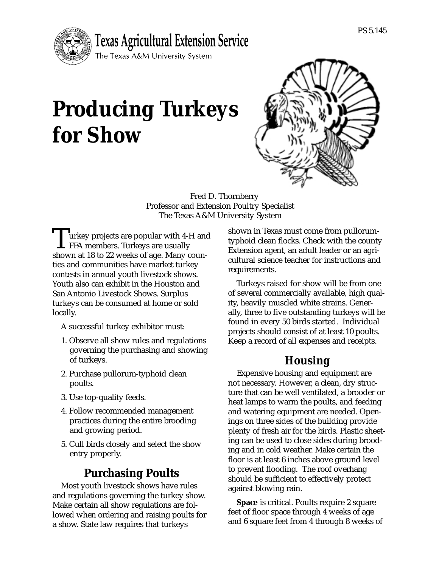

# **Producing Turkeys for Show**



Fred D. Thornberry Professor and Extension Poultry Specialist The Texas A&M University System

urkey projects are popular with 4-H and FFA members. Turkeys are usually shown at 18 to 22 weeks of age. Many counties and communities have market turkey contests in annual youth livestock shows. Youth also can exhibit in the Houston and San Antonio Livestock Shows. Surplus turkeys can be consumed at home or sold locally.

A successful turkey exhibitor must:

- 1. Observe all show rules and regulations governing the purchasing and showing of turkeys.
- 2. Purchase pullorum-typhoid clean poults.
- 3. Use top-quality feeds.
- 4. Follow recommended management practices during the entire brooding and growing period.
- 5. Cull birds closely and select the show entry properly.

## **Purchasing Poults**

Most youth livestock shows have rules and regulations governing the turkey show. Make certain all show regulations are followed when ordering and raising poults for a show. State law requires that turkeys

shown in Texas must come from pullorumtyphoid clean flocks. Check with the county Extension agent, an adult leader or an agricultural science teacher for instructions and requirements.

Turkeys raised for show will be from one of several commercially available, high quality, heavily muscled white strains. Generally, three to five outstanding turkeys will be found in every 50 birds started. Individual projects should consist of at least 10 poults. Keep a record of all expenses and receipts.

## **Housing**

Expensive housing and equipment are not necessary. However, a clean, dry structure that can be well ventilated, a brooder or heat lamps to warm the poults, and feeding and watering equipment are needed. Openings on three sides of the building provide plenty of fresh air for the birds. Plastic sheeting can be used to close sides during brooding and in cold weather. Make certain the floor is at least 6 inches above ground level to prevent flooding. The roof overhang should be sufficient to effectively protect against blowing rain.

**Space** is critical. Poults require 2 square feet of floor space through 4 weeks of age and 6 square feet from 4 through 8 weeks of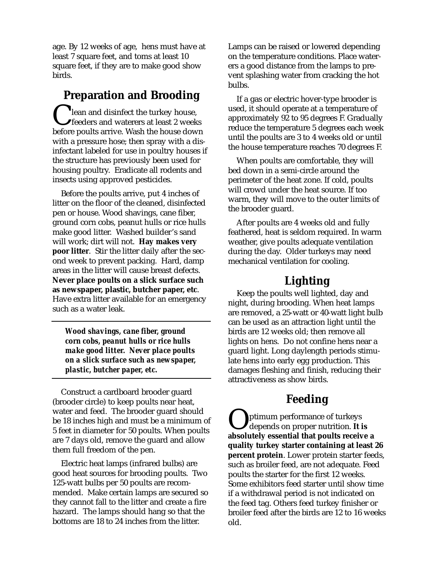age. By 12 weeks of age, hens must have at least 7 square feet, and toms at least 10 square feet, if they are to make good show birds.

#### **Preparation and Brooding**

**T** lean and disinfect the turkey house, **S** feeders and waterers at least 2 weeks before poults arrive. Wash the house down with a pressure hose; then spray with a disinfectant labeled for use in poultry houses if the structure has previously been used for housing poultry. Eradicate all rodents and insects using approved pesticides.

Before the poults arrive, put 4 inches of litter on the floor of the cleaned, disinfected pen or house. Wood shavings, cane fiber, ground corn cobs, peanut hulls or rice hulls make good litter. Washed builder's sand will work; dirt will not. **Hay makes very poor litter**. Stir the litter daily after the second week to prevent packing. Hard, damp areas in the litter will cause breast defects. **Never place poults on a slick surface such as newspaper, plastic, butcher paper, etc**. Have extra litter available for an emergency such as a water leak.

*Wood shavings, cane fiber, ground corn cobs, peanut hulls or rice hulls make good litter. Never place poults on a slick surface such as newspaper, plastic, butcher paper, etc.*

Construct a cardboard brooder guard (brooder circle) to keep poults near heat, water and feed. The brooder guard should be 18 inches high and must be a minimum of 5 feet in diameter for 50 poults. When poults are 7 days old, remove the guard and allow them full freedom of the pen.

Electric heat lamps (infrared bulbs) are good heat sources for brooding poults. Two 125-watt bulbs per 50 poults are recommended. Make certain lamps are secured so they cannot fall to the litter and create a fire hazard. The lamps should hang so that the bottoms are 18 to 24 inches from the litter.

Lamps can be raised or lowered depending on the temperature conditions. Place waterers a good distance from the lamps to prevent splashing water from cracking the hot bulbs.

If a gas or electric hover-type brooder is used, it should operate at a temperature of approximately 92 to 95 degrees F. Gradually reduce the temperature 5 degrees each week until the poults are 3 to 4 weeks old or until the house temperature reaches 70 degrees F.

When poults are comfortable, they will bed down in a semi-circle around the perimeter of the heat zone. If cold, poults will crowd under the heat source. If too warm, they will move to the outer limits of the brooder guard.

After poults are 4 weeks old and fully feathered, heat is seldom required. In warm weather, give poults adequate ventilation during the day. Older turkeys may need mechanical ventilation for cooling.

#### **Lighting**

Keep the poults well lighted, day and night, during brooding. When heat lamps are removed, a 25-watt or 40-watt light bulb can be used as an attraction light until the birds are 12 weeks old; then remove all lights on hens. Do not confine hens near a guard light. Long daylength periods stimulate hens into early egg production. This damages fleshing and finish, reducing their attractiveness as show birds.

## **Feeding**

ptimum performance of turkeys depends on proper nutrition. **It is absolutely essential that poults receive a quality turkey starter containing at least 26 percent protein**. Lower protein starter feeds, such as broiler feed, are not adequate. Feed poults the starter for the first 12 weeks. Some exhibitors feed starter until show time if a withdrawal period is not indicated on the feed tag. Others feed turkey finisher or broiler feed after the birds are 12 to 16 weeks old.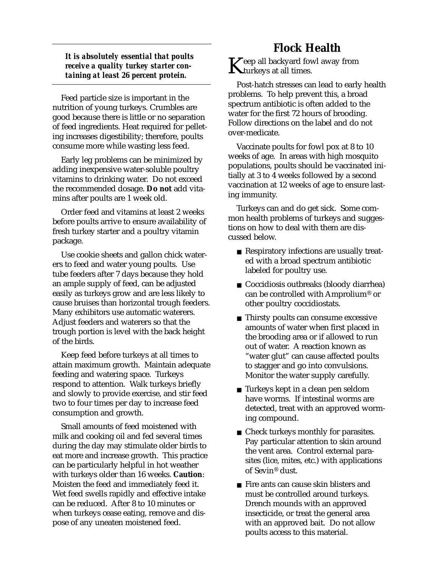*It is absolutely essential that poults receive a quality turkey starter containing at least 26 percent protein.*

Feed particle size is important in the nutrition of young turkeys. Crumbles are good because there is little or no separation of feed ingredients. Heat required for pelleting increases digestibility; therefore, poults consume more while wasting less feed.

Early leg problems can be minimized by adding inexpensive water-soluble poultry vitamins to drinking water. Do not exceed the recommended dosage. **Do not** add vitamins after poults are 1 week old.

Order feed and vitamins at least 2 weeks before poults arrive to ensure availability of fresh turkey starter and a poultry vitamin package.

Use cookie sheets and gallon chick waterers to feed and water young poults. Use tube feeders after 7 days because they hold an ample supply of feed, can be adjusted easily as turkeys grow and are less likely to cause bruises than horizontal trough feeders. Many exhibitors use automatic waterers. Adjust feeders and waterers so that the trough portion is level with the back height of the birds.

Keep feed before turkeys at all times to attain maximum growth. Maintain adequate feeding and watering space. Turkeys respond to attention. Walk turkeys briefly and slowly to provide exercise, and stir feed two to four times per day to increase feed consumption and growth.

Small amounts of feed moistened with milk and cooking oil and fed several times during the day may stimulate older birds to eat more and increase growth. This practice can be particularly helpful in hot weather with turkeys older than 16 weeks. **Caution**: Moisten the feed and immediately feed it. Wet feed swells rapidly and effective intake can be reduced. After 8 to 10 minutes or when turkeys cease eating, remove and dispose of any uneaten moistened feed.

#### **Flock Health**

 $\boldsymbol{K}$ eep all backyard fowl away from  $\boldsymbol{K}$ turkeys at all times.

Post-hatch stresses can lead to early health problems. To help prevent this, a broad spectrum antibiotic is often added to the water for the first 72 hours of brooding. Follow directions on the label and do not over-medicate.

Vaccinate poults for fowl pox at 8 to 10 weeks of age. In areas with high mosquito populations, poults should be vaccinated initially at 3 to 4 weeks followed by a second vaccination at 12 weeks of age to ensure lasting immunity.

Turkeys can and do get sick. Some common health problems of turkeys and suggestions on how to deal with them are discussed below.

- Respiratory infections are usually treated with a broad spectrum antibiotic labeled for poultry use.
- Coccidiosis outbreaks (bloody diarrhea) can be controlled with Amprolium® or other poultry coccidiostats.
- Thirsty poults can consume excessive amounts of water when first placed in the brooding area or if allowed to run out of water. A reaction known as "water glut" can cause affected poults to stagger and go into convulsions. Monitor the water supply carefully.
- Turkeys kept in a clean pen seldom have worms. If intestinal worms are detected, treat with an approved worming compound.
- Check turkeys monthly for parasites. Pay particular attention to skin around the vent area. Control external parasites (lice, mites, etc.) with applications of Sevin® dust.
- Fire ants can cause skin blisters and must be controlled around turkeys. Drench mounds with an approved insecticide, or treat the general area with an approved bait. Do not allow poults access to this material.